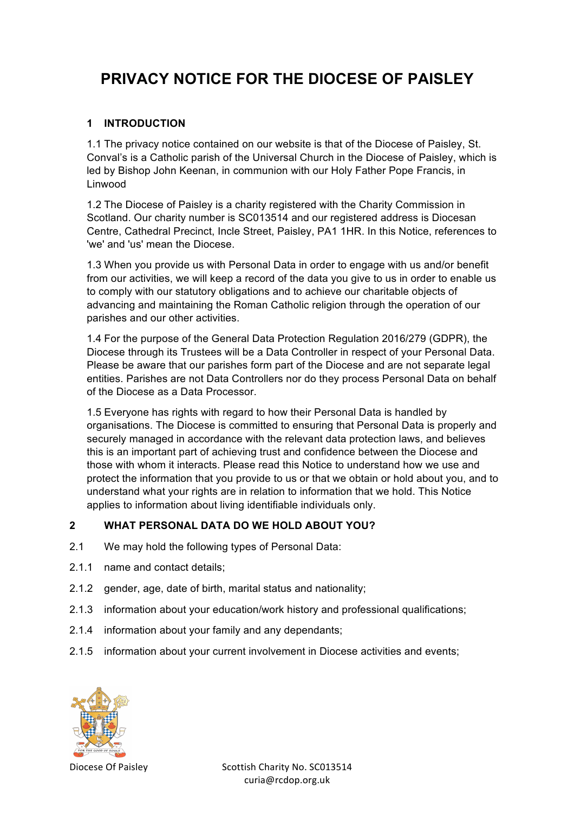# **PRIVACY NOTICE FOR THE DIOCESE OF PAISLEY**

#### **1 INTRODUCTION**

1.1 The privacy notice contained on our website is that of the Diocese of Paisley, St. Conval's is a Catholic parish of the Universal Church in the Diocese of Paisley, which is led by Bishop John Keenan, in communion with our Holy Father Pope Francis, in Linwood

1.2 The Diocese of Paisley is a charity registered with the Charity Commission in Scotland. Our charity number is SC013514 and our registered address is Diocesan Centre, Cathedral Precinct, Incle Street, Paisley, PA1 1HR. In this Notice, references to 'we' and 'us' mean the Diocese.

1.3 When you provide us with Personal Data in order to engage with us and/or benefit from our activities, we will keep a record of the data you give to us in order to enable us to comply with our statutory obligations and to achieve our charitable objects of advancing and maintaining the Roman Catholic religion through the operation of our parishes and our other activities.

1.4 For the purpose of the General Data Protection Regulation 2016/279 (GDPR), the Diocese through its Trustees will be a Data Controller in respect of your Personal Data. Please be aware that our parishes form part of the Diocese and are not separate legal entities. Parishes are not Data Controllers nor do they process Personal Data on behalf of the Diocese as a Data Processor.

1.5 Everyone has rights with regard to how their Personal Data is handled by organisations. The Diocese is committed to ensuring that Personal Data is properly and securely managed in accordance with the relevant data protection laws, and believes this is an important part of achieving trust and confidence between the Diocese and those with whom it interacts. Please read this Notice to understand how we use and protect the information that you provide to us or that we obtain or hold about you, and to understand what your rights are in relation to information that we hold. This Notice applies to information about living identifiable individuals only.

#### **2 WHAT PERSONAL DATA DO WE HOLD ABOUT YOU?**

- 2.1 We may hold the following types of Personal Data:
- 2.1.1 name and contact details;
- 2.1.2 gender, age, date of birth, marital status and nationality;
- 2.1.3 information about your education/work history and professional qualifications;
- 2.1.4 information about your family and any dependants;
- 2.1.5 information about your current involvement in Diocese activities and events;

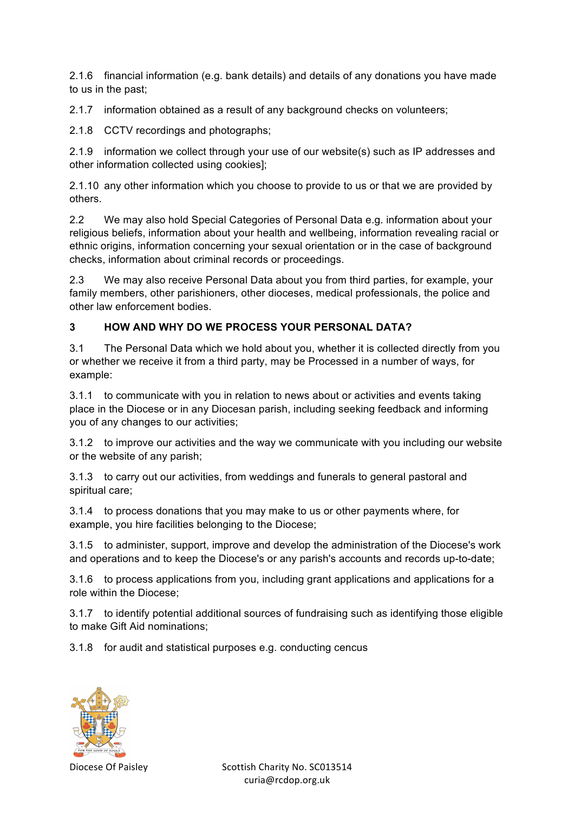2.1.6 financial information (e.g. bank details) and details of any donations you have made to us in the past;

2.1.7 information obtained as a result of any background checks on volunteers;

2.1.8 CCTV recordings and photographs;

2.1.9 information we collect through your use of our website(s) such as IP addresses and other information collected using cookies];

2.1.10 any other information which you choose to provide to us or that we are provided by others.

2.2 We may also hold Special Categories of Personal Data e.g. information about your religious beliefs, information about your health and wellbeing, information revealing racial or ethnic origins, information concerning your sexual orientation or in the case of background checks, information about criminal records or proceedings.

2.3 We may also receive Personal Data about you from third parties, for example, your family members, other parishioners, other dioceses, medical professionals, the police and other law enforcement bodies.

# **3 HOW AND WHY DO WE PROCESS YOUR PERSONAL DATA?**

3.1 The Personal Data which we hold about you, whether it is collected directly from you or whether we receive it from a third party, may be Processed in a number of ways, for example:

3.1.1 to communicate with you in relation to news about or activities and events taking place in the Diocese or in any Diocesan parish, including seeking feedback and informing you of any changes to our activities;

3.1.2 to improve our activities and the way we communicate with you including our website or the website of any parish;

3.1.3 to carry out our activities, from weddings and funerals to general pastoral and spiritual care;

3.1.4 to process donations that you may make to us or other payments where, for example, you hire facilities belonging to the Diocese;

3.1.5 to administer, support, improve and develop the administration of the Diocese's work and operations and to keep the Diocese's or any parish's accounts and records up-to-date;

3.1.6 to process applications from you, including grant applications and applications for a role within the Diocese;

3.1.7 to identify potential additional sources of fundraising such as identifying those eligible to make Gift Aid nominations;

3.1.8 for audit and statistical purposes e.g. conducting cencus

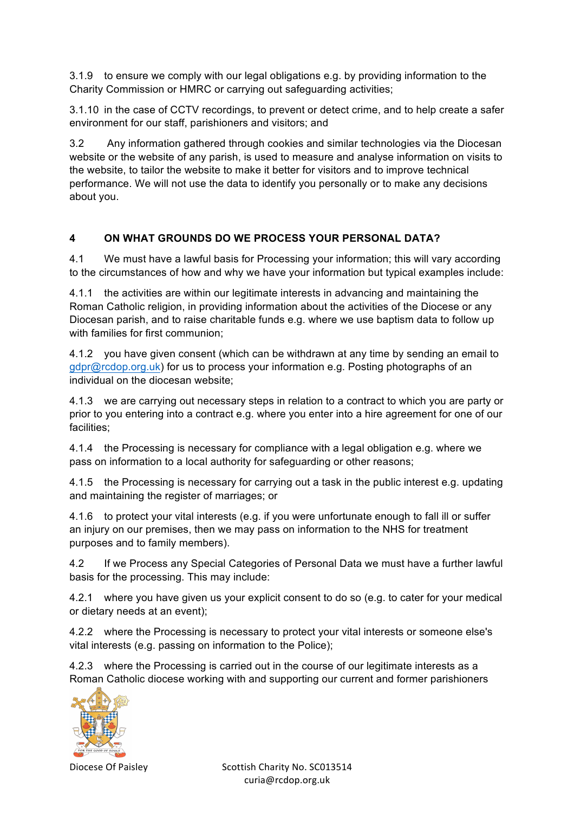3.1.9 to ensure we comply with our legal obligations e.g. by providing information to the Charity Commission or HMRC or carrying out safeguarding activities;

3.1.10 in the case of CCTV recordings, to prevent or detect crime, and to help create a safer environment for our staff, parishioners and visitors; and

3.2 Any information gathered through cookies and similar technologies via the Diocesan website or the website of any parish, is used to measure and analyse information on visits to the website, to tailor the website to make it better for visitors and to improve technical performance. We will not use the data to identify you personally or to make any decisions about you.

#### **4 ON WHAT GROUNDS DO WE PROCESS YOUR PERSONAL DATA?**

4.1 We must have a lawful basis for Processing your information; this will vary according to the circumstances of how and why we have your information but typical examples include:

4.1.1 the activities are within our legitimate interests in advancing and maintaining the Roman Catholic religion, in providing information about the activities of the Diocese or any Diocesan parish, and to raise charitable funds e.g. where we use baptism data to follow up with families for first communion;

4.1.2 you have given consent (which can be withdrawn at any time by sending an email to gdpr@rcdop.org.uk) for us to process your information e.g. Posting photographs of an individual on the diocesan website;

4.1.3 we are carrying out necessary steps in relation to a contract to which you are party or prior to you entering into a contract e.g. where you enter into a hire agreement for one of our facilities;

4.1.4 the Processing is necessary for compliance with a legal obligation e.g. where we pass on information to a local authority for safeguarding or other reasons;

4.1.5 the Processing is necessary for carrying out a task in the public interest e.g. updating and maintaining the register of marriages; or

4.1.6 to protect your vital interests (e.g. if you were unfortunate enough to fall ill or suffer an injury on our premises, then we may pass on information to the NHS for treatment purposes and to family members).

4.2 If we Process any Special Categories of Personal Data we must have a further lawful basis for the processing. This may include:

4.2.1 where you have given us your explicit consent to do so (e.g. to cater for your medical or dietary needs at an event);

4.2.2 where the Processing is necessary to protect your vital interests or someone else's vital interests (e.g. passing on information to the Police);

4.2.3 where the Processing is carried out in the course of our legitimate interests as a Roman Catholic diocese working with and supporting our current and former parishioners

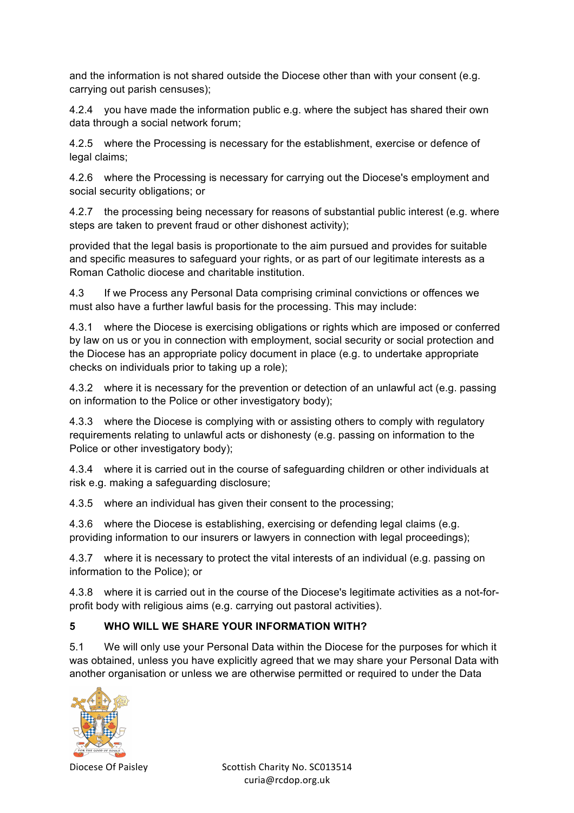and the information is not shared outside the Diocese other than with your consent (e.g. carrying out parish censuses);

4.2.4 you have made the information public e.g. where the subject has shared their own data through a social network forum;

4.2.5 where the Processing is necessary for the establishment, exercise or defence of legal claims;

4.2.6 where the Processing is necessary for carrying out the Diocese's employment and social security obligations; or

4.2.7 the processing being necessary for reasons of substantial public interest (e.g. where steps are taken to prevent fraud or other dishonest activity);

provided that the legal basis is proportionate to the aim pursued and provides for suitable and specific measures to safeguard your rights, or as part of our legitimate interests as a Roman Catholic diocese and charitable institution.

4.3 If we Process any Personal Data comprising criminal convictions or offences we must also have a further lawful basis for the processing. This may include:

4.3.1 where the Diocese is exercising obligations or rights which are imposed or conferred by law on us or you in connection with employment, social security or social protection and the Diocese has an appropriate policy document in place (e.g. to undertake appropriate checks on individuals prior to taking up a role);

4.3.2 where it is necessary for the prevention or detection of an unlawful act (e.g. passing on information to the Police or other investigatory body);

4.3.3 where the Diocese is complying with or assisting others to comply with regulatory requirements relating to unlawful acts or dishonesty (e.g. passing on information to the Police or other investigatory body);

4.3.4 where it is carried out in the course of safeguarding children or other individuals at risk e.g. making a safeguarding disclosure;

4.3.5 where an individual has given their consent to the processing;

4.3.6 where the Diocese is establishing, exercising or defending legal claims (e.g. providing information to our insurers or lawyers in connection with legal proceedings);

4.3.7 where it is necessary to protect the vital interests of an individual (e.g. passing on information to the Police); or

4.3.8 where it is carried out in the course of the Diocese's legitimate activities as a not-forprofit body with religious aims (e.g. carrying out pastoral activities).

# **5 WHO WILL WE SHARE YOUR INFORMATION WITH?**

5.1 We will only use your Personal Data within the Diocese for the purposes for which it was obtained, unless you have explicitly agreed that we may share your Personal Data with another organisation or unless we are otherwise permitted or required to under the Data

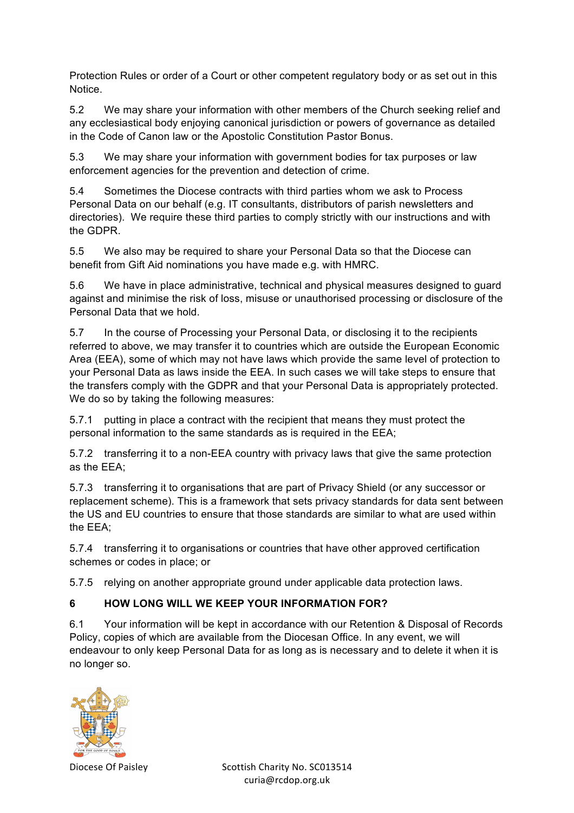Protection Rules or order of a Court or other competent regulatory body or as set out in this Notice.

5.2 We may share your information with other members of the Church seeking relief and any ecclesiastical body enjoying canonical jurisdiction or powers of governance as detailed in the Code of Canon law or the Apostolic Constitution Pastor Bonus.

5.3 We may share your information with government bodies for tax purposes or law enforcement agencies for the prevention and detection of crime.

5.4 Sometimes the Diocese contracts with third parties whom we ask to Process Personal Data on our behalf (e.g. IT consultants, distributors of parish newsletters and directories). We require these third parties to comply strictly with our instructions and with the GDPR.

5.5 We also may be required to share your Personal Data so that the Diocese can benefit from Gift Aid nominations you have made e.g. with HMRC.

5.6 We have in place administrative, technical and physical measures designed to guard against and minimise the risk of loss, misuse or unauthorised processing or disclosure of the Personal Data that we hold.

5.7 In the course of Processing your Personal Data, or disclosing it to the recipients referred to above, we may transfer it to countries which are outside the European Economic Area (EEA), some of which may not have laws which provide the same level of protection to your Personal Data as laws inside the EEA. In such cases we will take steps to ensure that the transfers comply with the GDPR and that your Personal Data is appropriately protected. We do so by taking the following measures:

5.7.1 putting in place a contract with the recipient that means they must protect the personal information to the same standards as is required in the EEA;

5.7.2 transferring it to a non-EEA country with privacy laws that give the same protection as the EEA;

5.7.3 transferring it to organisations that are part of Privacy Shield (or any successor or replacement scheme). This is a framework that sets privacy standards for data sent between the US and EU countries to ensure that those standards are similar to what are used within the EEA;

5.7.4 transferring it to organisations or countries that have other approved certification schemes or codes in place; or

5.7.5 relying on another appropriate ground under applicable data protection laws.

# **6 HOW LONG WILL WE KEEP YOUR INFORMATION FOR?**

6.1 Your information will be kept in accordance with our Retention & Disposal of Records Policy, copies of which are available from the Diocesan Office. In any event, we will endeavour to only keep Personal Data for as long as is necessary and to delete it when it is no longer so.

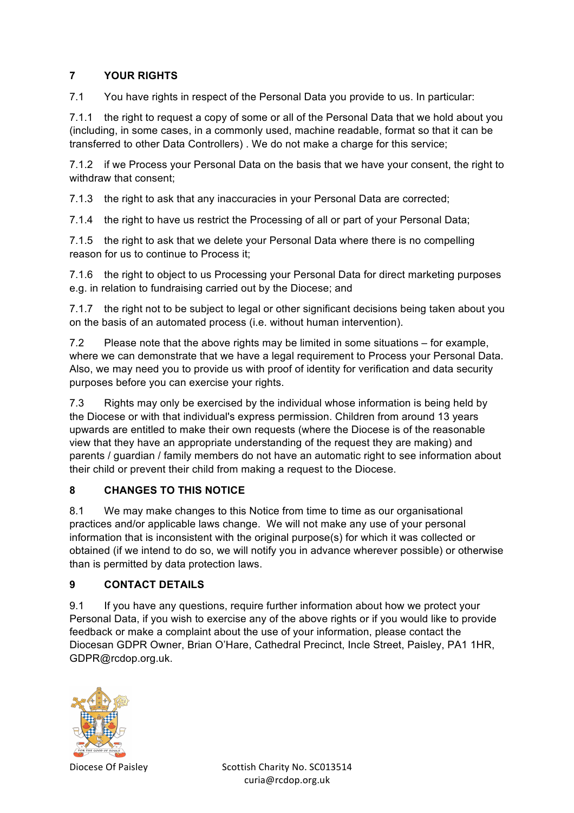#### **7 YOUR RIGHTS**

7.1 You have rights in respect of the Personal Data you provide to us. In particular:

7.1.1 the right to request a copy of some or all of the Personal Data that we hold about you (including, in some cases, in a commonly used, machine readable, format so that it can be transferred to other Data Controllers) . We do not make a charge for this service;

7.1.2 if we Process your Personal Data on the basis that we have your consent, the right to withdraw that consent;

7.1.3 the right to ask that any inaccuracies in your Personal Data are corrected;

7.1.4 the right to have us restrict the Processing of all or part of your Personal Data;

7.1.5 the right to ask that we delete your Personal Data where there is no compelling reason for us to continue to Process it;

7.1.6 the right to object to us Processing your Personal Data for direct marketing purposes e.g. in relation to fundraising carried out by the Diocese; and

7.1.7 the right not to be subject to legal or other significant decisions being taken about you on the basis of an automated process (i.e. without human intervention).

7.2 Please note that the above rights may be limited in some situations – for example, where we can demonstrate that we have a legal requirement to Process your Personal Data. Also, we may need you to provide us with proof of identity for verification and data security purposes before you can exercise your rights.

7.3 Rights may only be exercised by the individual whose information is being held by the Diocese or with that individual's express permission. Children from around 13 years upwards are entitled to make their own requests (where the Diocese is of the reasonable view that they have an appropriate understanding of the request they are making) and parents / guardian / family members do not have an automatic right to see information about their child or prevent their child from making a request to the Diocese.

# **8 CHANGES TO THIS NOTICE**

8.1 We may make changes to this Notice from time to time as our organisational practices and/or applicable laws change. We will not make any use of your personal information that is inconsistent with the original purpose(s) for which it was collected or obtained (if we intend to do so, we will notify you in advance wherever possible) or otherwise than is permitted by data protection laws.

#### **9 CONTACT DETAILS**

9.1 If you have any questions, require further information about how we protect your Personal Data, if you wish to exercise any of the above rights or if you would like to provide feedback or make a complaint about the use of your information, please contact the Diocesan GDPR Owner, Brian O'Hare, Cathedral Precinct, Incle Street, Paisley, PA1 1HR, GDPR@rcdop.org.uk.

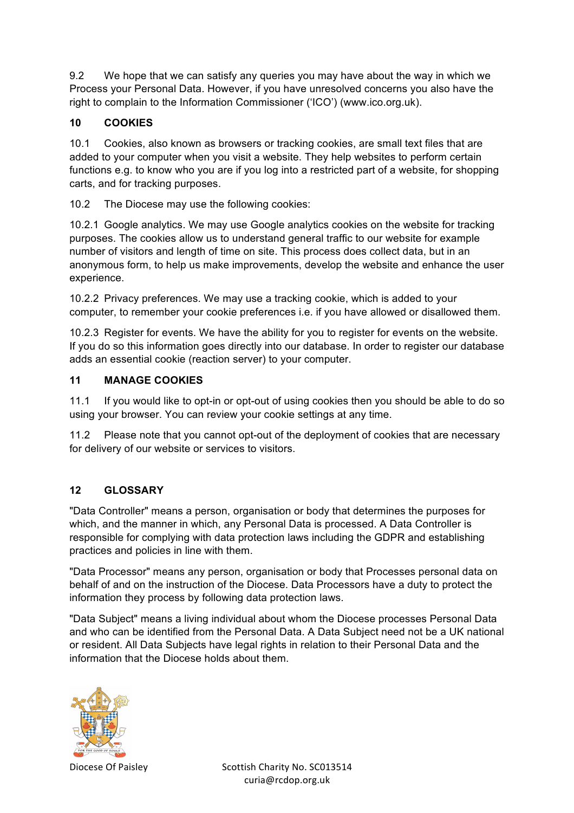9.2 We hope that we can satisfy any queries you may have about the way in which we Process your Personal Data. However, if you have unresolved concerns you also have the right to complain to the Information Commissioner ('ICO') (www.ico.org.uk).

#### **10 COOKIES**

10.1 Cookies, also known as browsers or tracking cookies, are small text files that are added to your computer when you visit a website. They help websites to perform certain functions e.g. to know who you are if you log into a restricted part of a website, for shopping carts, and for tracking purposes.

10.2 The Diocese may use the following cookies:

10.2.1 Google analytics. We may use Google analytics cookies on the website for tracking purposes. The cookies allow us to understand general traffic to our website for example number of visitors and length of time on site. This process does collect data, but in an anonymous form, to help us make improvements, develop the website and enhance the user experience.

10.2.2 Privacy preferences. We may use a tracking cookie, which is added to your computer, to remember your cookie preferences i.e. if you have allowed or disallowed them.

10.2.3 Register for events. We have the ability for you to register for events on the website. If you do so this information goes directly into our database. In order to register our database adds an essential cookie (reaction server) to your computer.

#### **11 MANAGE COOKIES**

11.1 If you would like to opt-in or opt-out of using cookies then you should be able to do so using your browser. You can review your cookie settings at any time.

11.2 Please note that you cannot opt-out of the deployment of cookies that are necessary for delivery of our website or services to visitors.

# **12 GLOSSARY**

"Data Controller" means a person, organisation or body that determines the purposes for which, and the manner in which, any Personal Data is processed. A Data Controller is responsible for complying with data protection laws including the GDPR and establishing practices and policies in line with them.

"Data Processor" means any person, organisation or body that Processes personal data on behalf of and on the instruction of the Diocese. Data Processors have a duty to protect the information they process by following data protection laws.

"Data Subject" means a living individual about whom the Diocese processes Personal Data and who can be identified from the Personal Data. A Data Subject need not be a UK national or resident. All Data Subjects have legal rights in relation to their Personal Data and the information that the Diocese holds about them.